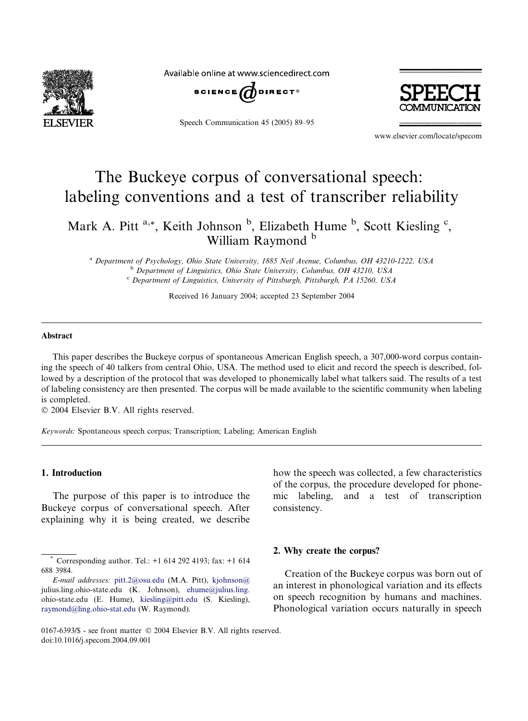

Available online at www.sciencedirect.com



Speech Communication 45 (2005) 89–95



www.elsevier.com/locate/specom

# The Buckeye corpus of conversational speech: labeling conventions and a test of transcriber reliability

Mark A. Pitt<sup>a,\*</sup>, Keith Johnson<sup>b</sup>, Elizabeth Hume<sup>b</sup>, Scott Kiesling<sup>c</sup>, William Raymond<sup>b</sup>

<sup>a</sup> Department of Psychology, Ohio State University, 1885 Neil Avenue, Columbus, OH 43210-1222, USA <sup>b</sup> Department of Linguistics, Ohio State University, Columbus, OH 43210, USA <sup>c</sup> Department of Linguistics, University of Pittsburgh, Pittsburgh, PA 15260, USA

Received 16 January 2004; accepted 23 September 2004

# Abstract

This paper describes the Buckeye corpus of spontaneous American English speech, a 307,000-word corpus containing the speech of 40 talkers from central Ohio, USA. The method used to elicit and record the speech is described, followed by a description of the protocol that was developed to phonemically label what talkers said. The results of a test of labeling consistency are then presented. The corpus will be made available to the scientific community when labeling is completed.

2004 Elsevier B.V. All rights reserved.

Keywords: Spontaneous speech corpus; Transcription; Labeling; American English

#### 1. Introduction

The purpose of this paper is to introduce the Buckeye corpus of conversational speech. After explaining why it is being created, we describe how the speech was collected, a few characteristics of the corpus, the procedure developed for phonemic labeling, and a test of transcription consistency.

## 2. Why create the corpus?

Creation of the Buckeye corpus was born out of an interest in phonological variation and its effects on speech recognition by humans and machines. Phonological variation occurs naturally in speech

<sup>\*</sup> Corresponding author. Tel.: +1 614 292 4193; fax: +1 614 688 3984.

E-mail addresses: [pitt.2@osu.edu](mailto:pitt.2@osu.edu ) (M.A. Pitt), [kjohnson@](mailto:kjohnson@ ) julius.ling.ohio-state.edu (K. Johnson), [ehume@julius.ling.](mailto:ehume@julius.ling. ) ohio-state.edu (E. Hume), [kiesling@pitt.edu](mailto:kiesling@pitt.edu ) (S. Kiesling), [raymond@ling.ohio-stat.edu](mailto:raymond@ling.ohio-stat.edu ) (W. Raymond).

<sup>0167-6393/\$ -</sup> see front matter © 2004 Elsevier B.V. All rights reserved. doi:10.1016/j.specom.2004.09.001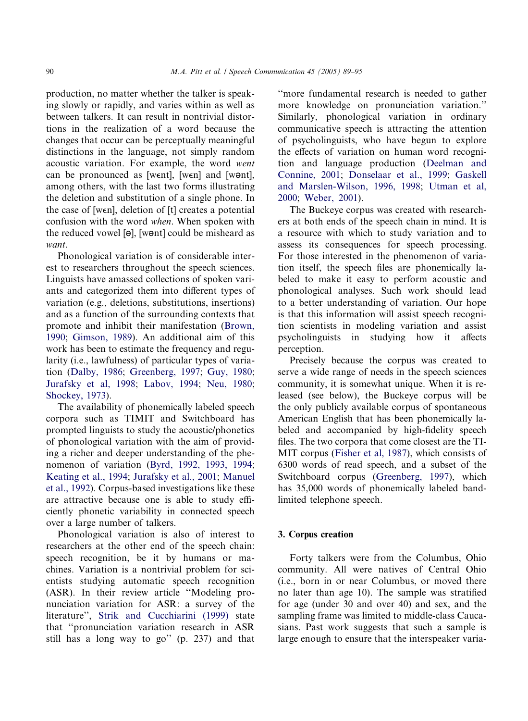production, no matter whether the talker is speaking slowly or rapidly, and varies within as well as between talkers. It can result in nontrivial distortions in the realization of a word because the changes that occur can be perceptually meaningful distinctions in the language, not simply random acoustic variation. For example, the word went can be pronounced as [went], [wen] and [w $\theta$ nt], among others, with the last two forms illustrating the deletion and substitution of a single phone. In the case of [wen], deletion of [t] creates a potential confusion with the word when. When spoken with the reduced vowel  $[\Theta]$ , [wort] could be misheard as want.

Phonological variation is of considerable interest to researchers throughout the speech sciences. Linguists have amassed collections of spoken variants and categorized them into different types of variation (e.g., deletions, substitutions, insertions) and as a function of the surrounding contexts that promote and inhibit their manifestation [\(Brown,](#page-6-0) [1990](#page-6-0); [Gimson, 1989](#page-6-0)). An additional aim of this work has been to estimate the frequency and regularity (i.e., lawfulness) of particular types of variation ([Dalby, 1986](#page-6-0); [Greenberg, 1997](#page-6-0); [Guy, 1980;](#page-6-0) [Jurafsky et al, 1998;](#page-6-0) [Labov, 1994;](#page-6-0) [Neu, 1980;](#page-6-0) [Shockey, 1973](#page-6-0)).

The availability of phonemically labeled speech corpora such as TIMIT and Switchboard has prompted linguists to study the acoustic/phonetics of phonological variation with the aim of providing a richer and deeper understanding of the phenomenon of variation ([Byrd, 1992, 1993, 1994;](#page-6-0) [Keating et al., 1994;](#page-6-0) [Jurafsky et al., 2001;](#page-6-0) [Manuel](#page-6-0) [et al., 1992\)](#page-6-0). Corpus-based investigations like these are attractive because one is able to study efficiently phonetic variability in connected speech over a large number of talkers.

Phonological variation is also of interest to researchers at the other end of the speech chain: speech recognition, be it by humans or machines. Variation is a nontrivial problem for scientists studying automatic speech recognition (ASR). In their review article ''Modeling pronunciation variation for ASR: a survey of the literature'', [Strik and Cucchiarini \(1999\)](#page-6-0) state that ''pronunciation variation research in ASR still has a long way to go'' (p. 237) and that ''more fundamental research is needed to gather more knowledge on pronunciation variation.'' Similarly, phonological variation in ordinary communicative speech is attracting the attention of psycholinguists, who have begun to explore the effects of variation on human word recognition and language production ([Deelman and](#page-6-0) [Connine, 2001](#page-6-0); [Donselaar et al., 1999](#page-6-0); [Gaskell](#page-6-0) [and Marslen-Wilson, 1996, 1998;](#page-6-0) [Utman et al,](#page-6-0) [2000](#page-6-0); [Weber, 2001](#page-6-0)).

The Buckeye corpus was created with researchers at both ends of the speech chain in mind. It is a resource with which to study variation and to assess its consequences for speech processing. For those interested in the phenomenon of variation itself, the speech files are phonemically labeled to make it easy to perform acoustic and phonological analyses. Such work should lead to a better understanding of variation. Our hope is that this information will assist speech recognition scientists in modeling variation and assist psycholinguists in studying how it affects perception.

Precisely because the corpus was created to serve a wide range of needs in the speech sciences community, it is somewhat unique. When it is released (see below), the Buckeye corpus will be the only publicly available corpus of spontaneous American English that has been phonemically labeled and accompanied by high-fidelity speech files. The two corpora that come closest are the TI-MIT corpus [\(Fisher et al, 1987](#page-6-0)), which consists of 6300 words of read speech, and a subset of the Switchboard corpus ([Greenberg, 1997\)](#page-6-0), which has 35,000 words of phonemically labeled bandlimited telephone speech.

## 3. Corpus creation

Forty talkers were from the Columbus, Ohio community. All were natives of Central Ohio (i.e., born in or near Columbus, or moved there no later than age 10). The sample was stratified for age (under 30 and over 40) and sex, and the sampling frame was limited to middle-class Caucasians. Past work suggests that such a sample is large enough to ensure that the interspeaker varia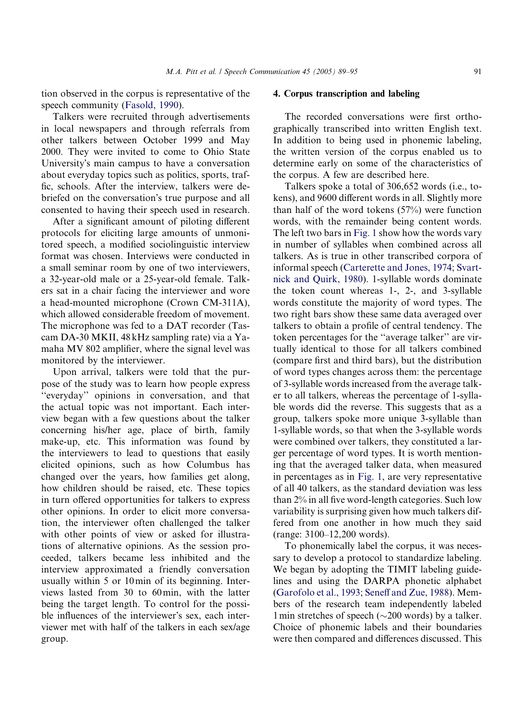tion observed in the corpus is representative of the speech community ([Fasold, 1990](#page-6-0)).

Talkers were recruited through advertisements in local newspapers and through referrals from other talkers between October 1999 and May 2000. They were invited to come to Ohio State University's main campus to have a conversation about everyday topics such as politics, sports, traffic, schools. After the interview, talkers were debriefed on the conversation's true purpose and all consented to having their speech used in research.

After a significant amount of piloting different protocols for eliciting large amounts of unmonitored speech, a modified sociolinguistic interview format was chosen. Interviews were conducted in a small seminar room by one of two interviewers, a 32-year-old male or a 25-year-old female. Talkers sat in a chair facing the interviewer and wore a head-mounted microphone (Crown CM-311A), which allowed considerable freedom of movement. The microphone was fed to a DAT recorder (Tascam DA-30 MKII, 48 kHz sampling rate) via a Yamaha MV 802 amplifier, where the signal level was monitored by the interviewer.

Upon arrival, talkers were told that the purpose of the study was to learn how people express ''everyday'' opinions in conversation, and that the actual topic was not important. Each interview began with a few questions about the talker concerning his/her age, place of birth, family make-up, etc. This information was found by the interviewers to lead to questions that easily elicited opinions, such as how Columbus has changed over the years, how families get along, how children should be raised, etc. These topics in turn offered opportunities for talkers to express other opinions. In order to elicit more conversation, the interviewer often challenged the talker with other points of view or asked for illustrations of alternative opinions. As the session proceeded, talkers became less inhibited and the interview approximated a friendly conversation usually within 5 or 10min of its beginning. Interviews lasted from 30 to 60min, with the latter being the target length. To control for the possible influences of the interviewer's sex, each interviewer met with half of the talkers in each sex/age group.

# 4. Corpus transcription and labeling

The recorded conversations were first orthographically transcribed into written English text. In addition to being used in phonemic labeling, the written version of the corpus enabled us to determine early on some of the characteristics of the corpus. A few are described here.

Talkers spoke a total of 306,652 words (i.e., tokens), and 9600 different words in all. Slightly more than half of the word tokens (57%) were function words, with the remainder being content words. The left two bars in [Fig. 1](#page-3-0) show how the words vary in number of syllables when combined across all talkers. As is true in other transcribed corpora of informal speech [\(Carterette and Jones, 1974;](#page-6-0) [Svart](#page-6-0)[nick and Quirk, 1980](#page-6-0)). 1-syllable words dominate the token count whereas 1-, 2-, and 3-syllable words constitute the majority of word types. The two right bars show these same data averaged over talkers to obtain a profile of central tendency. The token percentages for the ''average talker'' are virtually identical to those for all talkers combined (compare first and third bars), but the distribution of word types changes across them: the percentage of 3-syllable words increased from the average talker to all talkers, whereas the percentage of 1-syllable words did the reverse. This suggests that as a group, talkers spoke more unique 3-syllable than 1-syllable words, so that when the 3-syllable words were combined over talkers, they constituted a larger percentage of word types. It is worth mentioning that the averaged talker data, when measured in percentages as in [Fig. 1](#page-3-0), are very representative of all 40 talkers, as the standard deviation was less than 2% in all five word-length categories. Such low variability is surprising given how much talkers differed from one another in how much they said (range: 3100–12,200 words).

To phonemically label the corpus, it was necessary to develop a protocol to standardize labeling. We began by adopting the TIMIT labeling guidelines and using the DARPA phonetic alphabet ([Garofolo et al., 1993;](#page-6-0) [Seneff and Zue, 1988\)](#page-6-0). Members of the research team independently labeled 1 min stretches of speech ( $\sim$ 200 words) by a talker. Choice of phonemic labels and their boundaries were then compared and differences discussed. This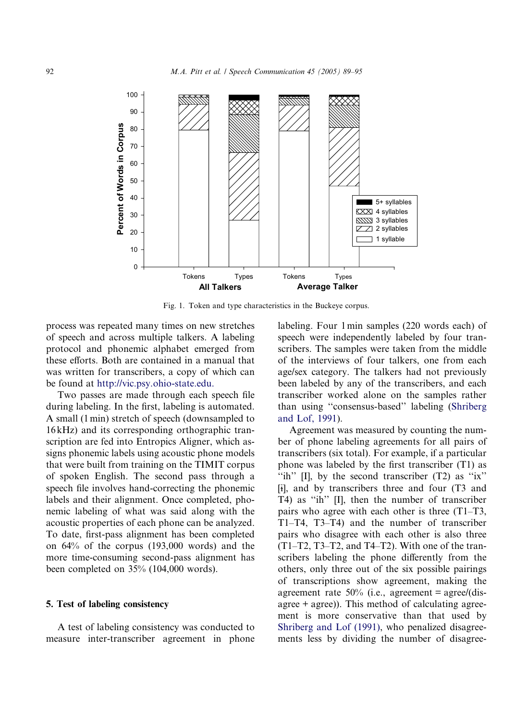<span id="page-3-0"></span>

Fig. 1. Token and type characteristics in the Buckeye corpus.

process was repeated many times on new stretches of speech and across multiple talkers. A labeling protocol and phonemic alphabet emerged from these efforts. Both are contained in a manual that was written for transcribers, a copy of which can be found at <http://vic.psy.ohio-state.edu.>

Two passes are made through each speech file during labeling. In the first, labeling is automated. A small (1min) stretch of speech (downsampled to 16 kHz) and its corresponding orthographic transcription are fed into Entropics Aligner, which assigns phonemic labels using acoustic phone models that were built from training on the TIMIT corpus of spoken English. The second pass through a speech file involves hand-correcting the phonemic labels and their alignment. Once completed, phonemic labeling of what was said along with the acoustic properties of each phone can be analyzed. To date, first-pass alignment has been completed on 64% of the corpus (193,000 words) and the more time-consuming second-pass alignment has been completed on 35% (104,000 words).

#### 5. Test of labeling consistency

A test of labeling consistency was conducted to measure inter-transcriber agreement in phone labeling. Four 1min samples (220 words each) of speech were independently labeled by four transcribers. The samples were taken from the middle of the interviews of four talkers, one from each age/sex category. The talkers had not previously been labeled by any of the transcribers, and each transcriber worked alone on the samples rather than using ''consensus-based'' labeling [\(Shriberg](#page-6-0) [and Lof, 1991](#page-6-0)).

Agreement was measured by counting the number of phone labeling agreements for all pairs of transcribers (six total). For example, if a particular phone was labeled by the first transcriber (T1) as "ih"  $\text{II}$ , by the second transcriber  $(T2)$  as "ix" [i], and by transcribers three and four (T3 and T4) as ''ih'' [I], then the number of transcriber pairs who agree with each other is three (T1–T3, T1–T4, T3–T4) and the number of transcriber pairs who disagree with each other is also three (T1–T2, T3–T2, and T4–T2). With one of the transcribers labeling the phone differently from the others, only three out of the six possible pairings of transcriptions show agreement, making the agreement rate  $50\%$  (i.e., agreement = agree/(disagree  $+$  agree)). This method of calculating agreement is more conservative than that used by [Shriberg and Lof \(1991\),](#page-6-0) who penalized disagreements less by dividing the number of disagree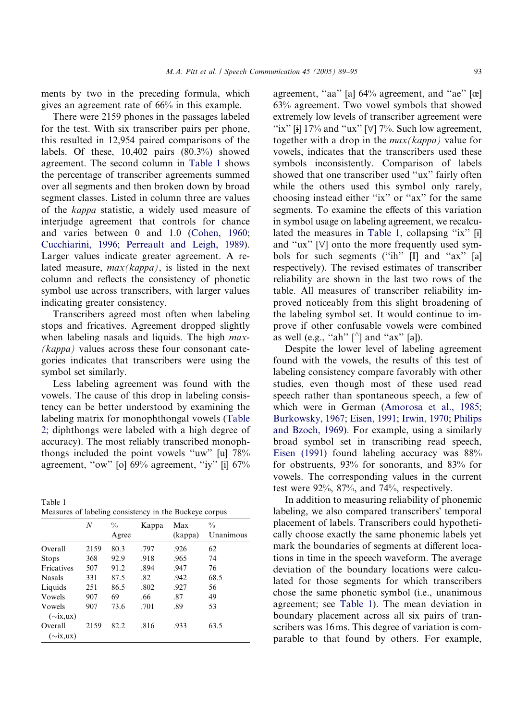ments by two in the preceding formula, which gives an agreement rate of 66% in this example.

There were 2159 phones in the passages labeled for the test. With six transcriber pairs per phone, this resulted in 12,954 paired comparisons of the labels. Of these,  $10,402$  pairs  $(80.3\%)$  showed agreement. The second column in Table 1 shows the percentage of transcriber agreements summed over all segments and then broken down by broad segment classes. Listed in column three are values of the kappa statistic, a widely used measure of interjudge agreement that controls for chance and varies between 0 and 1.0 [\(Cohen, 1960](#page-6-0); [Cucchiarini, 1996](#page-6-0); [Perreault and Leigh, 1989\)](#page-6-0). Larger values indicate greater agreement. A related measure,  $max(kappa)$ , is listed in the next column and reflects the consistency of phonetic symbol use across transcribers, with larger values indicating greater consistency.

Transcribers agreed most often when labeling stops and fricatives. Agreement dropped slightly when labeling nasals and liquids. The high *max*-(kappa) values across these four consonant categories indicates that transcribers were using the symbol set similarly.

Less labeling agreement was found with the vowels. The cause of this drop in labeling consistency can be better understood by examining the labeling matrix for monophthongal vowels [\(Table](#page-5-0) [2;](#page-5-0) diphthongs were labeled with a high degree of accuracy). The most reliably transcribed monophthongs included the point vowels ''uw'' [u] 78% agreement, ''ow'' [o] 69% agreement, ''iy'' [i] 67%

| Table 1 |                                                        |  |  |
|---------|--------------------------------------------------------|--|--|
|         | Measures of labeling consistency in the Buckeye corpus |  |  |

 $\pm$  11  $\pm$  11

|                           | N    | $\frac{0}{0}$<br>Agree | Kappa | Max<br>(kappa) | $\frac{0}{0}$<br>Unanimous |
|---------------------------|------|------------------------|-------|----------------|----------------------------|
| Overall                   | 2159 | 80.3                   | .797  | .926           | 62                         |
| <b>Stops</b>              | 368  | 92.9                   | .918  | .965           | 74                         |
| Fricatives                | 507  | 91.2                   | .894  | .947           | 76                         |
| <b>Nasals</b>             | 331  | 87.5                   | .82   | .942           | 68.5                       |
| Liquids                   | 251  | 86.5                   | .802  | .927           | 56                         |
| Vowels                    | 907  | 69                     | .66   | .87            | 49                         |
| Vowels<br>$(\sim$ ix,ux)  | 907  | 73.6                   | .701  | .89            | 53                         |
| Overall<br>$(\sim$ ix,ux) | 2159 | 82.2                   | .816  | .933           | 63.5                       |

agreement, "aa" [a] 64% agreement, and "ae" [œ] 63% agreement. Two vowel symbols that showed extremely low levels of transcriber agreement were "ix" [i]  $17\%$  and "ux" [ $\forall$ ] 7%. Such low agreement, together with a drop in the  $max(kappa)$  value for vowels, indicates that the transcribers used these symbols inconsistently. Comparison of labels showed that one transcriber used ''ux'' fairly often while the others used this symbol only rarely, choosing instead either ''ix'' or ''ax'' for the same segments. To examine the effects of this variation in symbol usage on labeling agreement, we recalculated the measures in Table 1, collapsing "ix" [i] and "ux"  $[\forall]$  onto the more frequently used symbols for such segments ("ih" [I] and "ax" [a] respectively). The revised estimates of transcriber reliability are shown in the last two rows of the table. All measures of transcriber reliability improved noticeably from this slight broadening of the labeling symbol set. It would continue to improve if other confusable vowels were combined as well (e.g., "ah"  $[\uparrow]$  and "ax" [a]).

Despite the lower level of labeling agreement found with the vowels, the results of this test of labeling consistency compare favorably with other studies, even though most of these used read speech rather than spontaneous speech, a few of which were in German [\(Amorosa et al., 1985](#page-6-0); [Burkowsky, 1967](#page-6-0); [Eisen, 1991;](#page-6-0) [Irwin, 1970;](#page-6-0) [Philips](#page-6-0) [and Bzoch, 1969](#page-6-0)). For example, using a similarly broad symbol set in transcribing read speech, [Eisen \(1991\)](#page-6-0) found labeling accuracy was 88% for obstruents, 93% for sonorants, and 83% for vowels. The corresponding values in the current test were 92%, 87%, and 74%, respectively.

In addition to measuring reliability of phonemic labeling, we also compared transcribers' temporal placement of labels. Transcribers could hypothetically choose exactly the same phonemic labels yet mark the boundaries of segments at different locations in time in the speech waveform. The average deviation of the boundary locations were calculated for those segments for which transcribers chose the same phonetic symbol (i.e., unanimous agreement; see Table 1). The mean deviation in boundary placement across all six pairs of transcribers was 16ms. This degree of variation is comparable to that found by others. For example,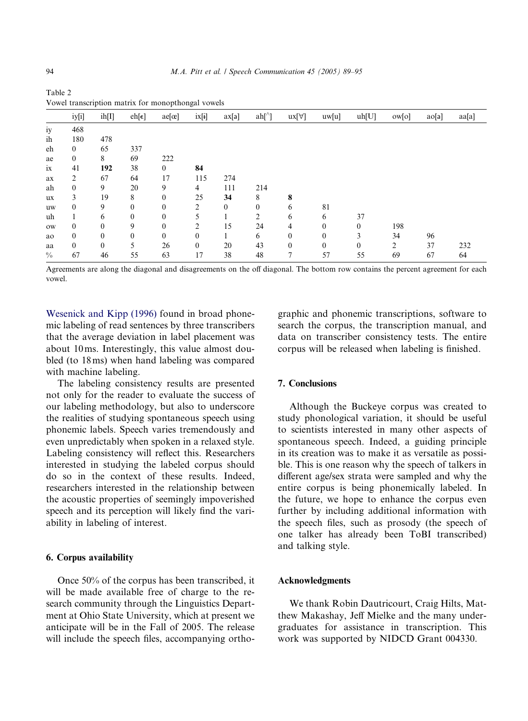|               | iy[i]          | ih[I]    | $eh[\epsilon]$ | $ae[\alpha]$ | ix[i]    | ax[a]        | ah[']        | $ux[\forall]$ | uw[u]    | uh[U]    | ow[o] | ao[a] | aa[a] |
|---------------|----------------|----------|----------------|--------------|----------|--------------|--------------|---------------|----------|----------|-------|-------|-------|
| iy            | 468            |          |                |              |          |              |              |               |          |          |       |       |       |
| ih            | 180            | 478      |                |              |          |              |              |               |          |          |       |       |       |
| eh            | $\overline{0}$ | 65       | 337            |              |          |              |              |               |          |          |       |       |       |
| ae            | $\mathbf{0}$   | 8        | 69             | 222          |          |              |              |               |          |          |       |       |       |
| ix            | 41             | 192      | 38             | $\mathbf{0}$ | 84       |              |              |               |          |          |       |       |       |
| ax            | 2              | 67       | 64             | 17           | 115      | 274          |              |               |          |          |       |       |       |
| ah            | $\mathbf{0}$   | 9        | 20             | 9            | 4        | 111          | 214          |               |          |          |       |       |       |
| ux            | 3              | 19       | 8              | $\theta$     | 25       | 34           | 8            | 8             |          |          |       |       |       |
| uw            | 0              | 9        | $\theta$       | $\theta$     | 2        | $\mathbf{0}$ | $\mathbf{0}$ | 6             | 81       |          |       |       |       |
| uh            |                | 6        | $\theta$       | $\mathbf{0}$ | 5        |              | 2            | 6             | 6        | 37       |       |       |       |
| ow            | $\Omega$       | $\Omega$ | 9              | $\theta$     | 2        | 15           | 24           | 4             | $\theta$ | $\theta$ | 198   |       |       |
| ao            | $\Omega$       | $\Omega$ | $\theta$       | $\mathbf{0}$ | $\theta$ |              | 6            | $\mathbf{0}$  | $\theta$ | 3        | 34    | 96    |       |
| aa            | $\Omega$       | $\theta$ | 5              | 26           | $\theta$ | 20           | 43           | $\theta$      | $\Omega$ | 0        | 2     | 37    | 232   |
| $\frac{0}{0}$ | 67             | 46       | 55             | 63           | 17       | 38           | 48           | $\mathbf{r}$  | 57       | 55       | 69    | 67    | 64    |

<span id="page-5-0"></span>Table 2 Vowel transcription matrix for monopthongal vowels

Agreements are along the diagonal and disagreements on the off diagonal. The bottom row contains the percent agreement for each vowel.

[Wesenick and Kipp \(1996\)](#page-6-0) found in broad phonemic labeling of read sentences by three transcribers that the average deviation in label placement was about 10ms. Interestingly, this value almost doubled (to 18ms) when hand labeling was compared with machine labeling.

The labeling consistency results are presented not only for the reader to evaluate the success of our labeling methodology, but also to underscore the realities of studying spontaneous speech using phonemic labels. Speech varies tremendously and even unpredictably when spoken in a relaxed style. Labeling consistency will reflect this. Researchers interested in studying the labeled corpus should do so in the context of these results. Indeed, researchers interested in the relationship between the acoustic properties of seemingly impoverished speech and its perception will likely find the variability in labeling of interest.

# 6. Corpus availability

Once 50% of the corpus has been transcribed, it will be made available free of charge to the research community through the Linguistics Department at Ohio State University, which at present we anticipate will be in the Fall of 2005. The release will include the speech files, accompanying orthographic and phonemic transcriptions, software to search the corpus, the transcription manual, and data on transcriber consistency tests. The entire corpus will be released when labeling is finished.

#### 7. Conclusions

Although the Buckeye corpus was created to study phonological variation, it should be useful to scientists interested in many other aspects of spontaneous speech. Indeed, a guiding principle in its creation was to make it as versatile as possible. This is one reason why the speech of talkers in different age/sex strata were sampled and why the entire corpus is being phonemically labeled. In the future, we hope to enhance the corpus even further by including additional information with the speech files, such as prosody (the speech of one talker has already been ToBI transcribed) and talking style.

# Acknowledgments

We thank Robin Dautricourt, Craig Hilts, Matthew Makashay, Jeff Mielke and the many undergraduates for assistance in transcription. This work was supported by NIDCD Grant 004330.